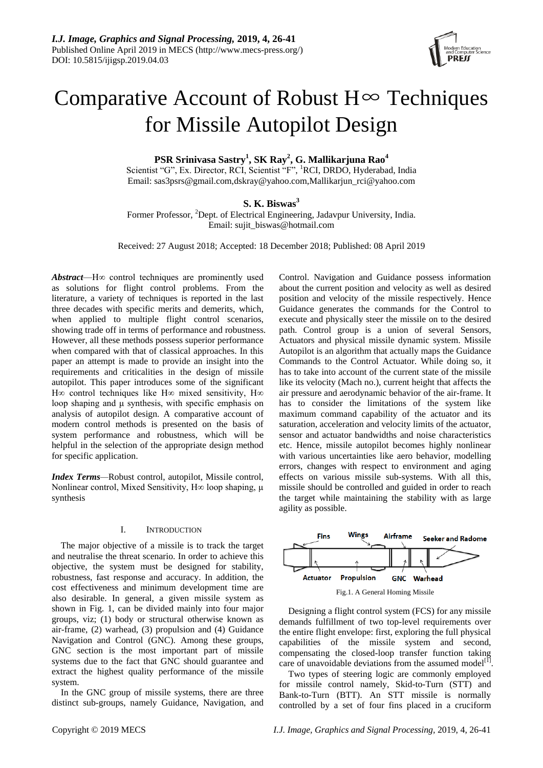

# Comparative Account of Robust  $H^{\infty}$  Techniques for Missile Autopilot Design

**PSR Srinivasa Sastry<sup>1</sup> , SK Ray<sup>2</sup> , G. Mallikarjuna Rao<sup>4</sup>**

Scientist "G", Ex. Director, RCI, Scientist "F", <sup>1</sup>RCI, DRDO, Hyderabad, India Email: [sas3psrs@gmail.com](mailto:sas3psrs@gmail.com)[,dskray@yahoo.com,](mailto:dskray@yahoo.com)Mallikarjun\_rci@yahoo.com

**S. K. Biswas<sup>3</sup>**

Former Professor, <sup>2</sup>Dept. of Electrical Engineering, Jadavpur University, India. Email: sujit\_biswas@hotmail.com

Received: 27 August 2018; Accepted: 18 December 2018; Published: 08 April 2019

*Abstract*—H∞ control techniques are prominently used as solutions for flight control problems. From the literature, a variety of techniques is reported in the last three decades with specific merits and demerits, which, when applied to multiple flight control scenarios, showing trade off in terms of performance and robustness. However, all these methods possess superior performance when compared with that of classical approaches. In this paper an attempt is made to provide an insight into the requirements and criticalities in the design of missile autopilot. This paper introduces some of the significant H∞ control techniques like H∞ mixed sensitivity, H∞ loop shaping and μ synthesis, with specific emphasis on analysis of autopilot design. A comparative account of modern control methods is presented on the basis of system performance and robustness, which will be helpful in the selection of the appropriate design method for specific application.

*Index Terms—*Robust control, autopilot, Missile control, Nonlinear control, Mixed Sensitivity, H∞ loop shaping,  $\mu$ synthesis

# I. INTRODUCTION

The major objective of a missile is to track the target and neutralise the threat scenario. In order to achieve this objective, the system must be designed for stability, robustness, fast response and accuracy. In addition, the cost effectiveness and minimum development time are also desirable. In general, a given missile system as shown in Fig. 1, can be divided mainly into four major groups, viz; (1) body or structural otherwise known as air-frame, (2) warhead, (3) propulsion and (4) Guidance Navigation and Control (GNC). Among these groups, GNC section is the most important part of missile systems due to the fact that GNC should guarantee and extract the highest quality performance of the missile system.

In the GNC group of missile systems, there are three distinct sub-groups, namely Guidance, Navigation, and Control. Navigation and Guidance possess information about the current position and velocity as well as desired position and velocity of the missile respectively. Hence Guidance generates the commands for the Control to execute and physically steer the missile on to the desired path. Control group is a union of several Sensors, Actuators and physical missile dynamic system. Missile Autopilot is an algorithm that actually maps the Guidance Commands to the Control Actuator. While doing so, it has to take into account of the current state of the missile like its velocity (Mach no.), current height that affects the air pressure and aerodynamic behavior of the air-frame. It has to consider the limitations of the system like maximum command capability of the actuator and its saturation, acceleration and velocity limits of the actuator, sensor and actuator bandwidths and noise characteristics etc. Hence, missile autopilot becomes highly nonlinear with various uncertainties like aero behavior, modelling errors, changes with respect to environment and aging effects on various missile sub-systems. With all this, missile should be controlled and guided in order to reach the target while maintaining the stability with as large agility as possible.



Designing a flight control system (FCS) for any missile demands fulfillment of two top-level requirements over the entire flight envelope: first, exploring the full physical capabilities of the missile system and second, compensating the closed-loop transfer function taking care of unavoidable deviations from the assumed model<sup>[1]</sup>.

Two types of steering logic are commonly employed for missile control namely, Skid-to-Turn (STT) and Bank-to-Turn (BTT). An STT missile is normally controlled by a set of four fins placed in a cruciform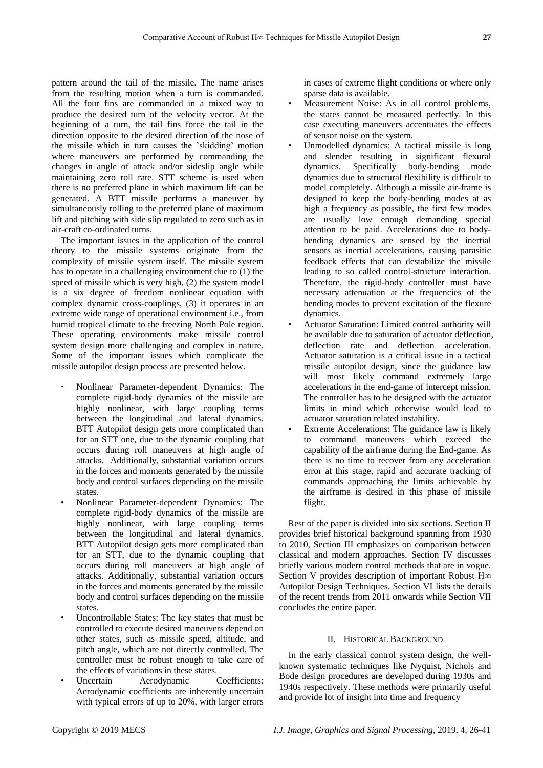pattern around the tail of the missile. The name arises from the resulting motion when a turn is commanded. All the four fins are commanded in a mixed way to produce the desired turn of the velocity vector. At the beginning of a turn, the tail fins force the tail in the direction opposite to the desired direction of the nose of the missile which in turn causes the 'skidding' motion where maneuvers are performed by commanding the changes in angle of attack and/or sideslip angle while maintaining zero roll rate. STT scheme is used when there is no preferred plane in which maximum lift can be generated. A BTT missile performs a maneuver by simultaneously rolling to the preferred plane of maximum lift and pitching with side slip regulated to zero such as in air-craft co-ordinated turns.

The important issues in the application of the control theory to the missile systems originate from the complexity of missile system itself. The missile system has to operate in a challenging environment due to (1) the speed of missile which is very high, (2) the system model is a six degree of freedom nonlinear equation with complex dynamic cross-couplings, (3) it operates in an extreme wide range of operational environment i.e., from humid tropical climate to the freezing North Pole region. These operating environments make missile control system design more challenging and complex in nature. Some of the important issues which complicate the missile autopilot design process are presented below.

- Nonlinear Parameter-dependent Dynamics: The complete rigid-body dynamics of the missile are highly nonlinear, with large coupling terms between the longitudinal and lateral dynamics. BTT Autopilot design gets more complicated than for an STT one, due to the dynamic coupling that occurs during roll maneuvers at high angle of attacks. Additionally, substantial variation occurs in the forces and moments generated by the missile body and control surfaces depending on the missile states.
- Nonlinear Parameter-dependent Dynamics: The complete rigid-body dynamics of the missile are highly nonlinear, with large coupling terms between the longitudinal and lateral dynamics. BTT Autopilot design gets more complicated than for an STT, due to the dynamic coupling that occurs during roll maneuvers at high angle of attacks. Additionally, substantial variation occurs in the forces and moments generated by the missile body and control surfaces depending on the missile states.
- Uncontrollable States: The key states that must be controlled to execute desired maneuvers depend on other states, such as missile speed, altitude, and pitch angle, which are not directly controlled. The controller must be robust enough to take care of the effects of variations in these states.
- Uncertain Aerodynamic Coefficients: Aerodynamic coefficients are inherently uncertain with typical errors of up to 20%, with larger errors

in cases of extreme flight conditions or where only sparse data is available.

- Measurement Noise: As in all control problems, the states cannot be measured perfectly. In this case executing maneuvers accentuates the effects of sensor noise on the system.
- Unmodelled dynamics: A tactical missile is long and slender resulting in significant flexural dynamics. Specifically body-bending mode dynamics due to structural flexibility is difficult to model completely. Although a missile air-frame is designed to keep the body-bending modes at as high a frequency as possible, the first few modes are usually low enough demanding special attention to be paid. Accelerations due to bodybending dynamics are sensed by the inertial sensors as inertial accelerations, causing parasitic feedback effects that can destabilize the missile leading to so called control-structure interaction. Therefore, the rigid-body controller must have necessary attenuation at the frequencies of the bending modes to prevent excitation of the flexure dynamics.
- Actuator Saturation: Limited control authority will be available due to saturation of actuator deflection, deflection rate and deflection acceleration. Actuator saturation is a critical issue in a tactical missile autopilot design, since the guidance law will most likely command extremely large accelerations in the end-game of intercept mission. The controller has to be designed with the actuator limits in mind which otherwise would lead to actuator saturation related instability.
- Extreme Accelerations: The guidance law is likely to command maneuvers which exceed the capability of the airframe during the End-game. As there is no time to recover from any acceleration error at this stage, rapid and accurate tracking of commands approaching the limits achievable by the airframe is desired in this phase of missile flight.

Rest of the paper is divided into six sections. Section II provides brief historical background spanning from 1930 to 2010, Section III emphasizes on comparison between classical and modern approaches. Section IV discusses briefly various modern control methods that are in vogue. Section V provides description of important Robust H∞ Autopilot Design Techniques. Section VI lists the details of the recent trends from 2011 onwards while Section VII concludes the entire paper.

# II. HISTORICAL BACKGROUND

In the early classical control system design, the wellknown systematic techniques like Nyquist, Nichols and Bode design procedures are developed during 1930s and 1940s respectively. These methods were primarily useful and provide lot of insight into time and frequency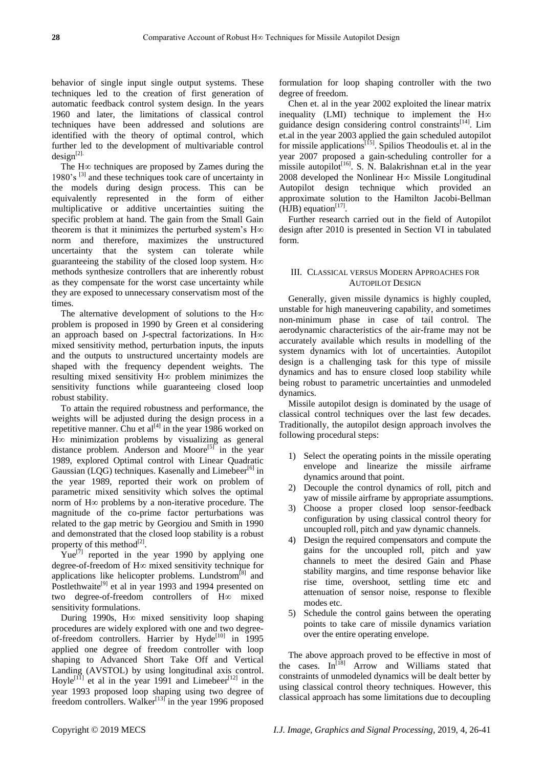behavior of single input single output systems. These techniques led to the creation of first generation of automatic feedback control system design. In the years 1960 and later, the limitations of classical control techniques have been addressed and solutions are identified with the theory of optimal control, which further led to the development of multivariable control  $design<sup>[2]</sup>$ 

The H∞ techniques are proposed by Zames during the 1980's [3] and these techniques took care of uncertainty in the models during design process. This can be equivalently represented in the form of either multiplicative or additive uncertainties suiting the specific problem at hand. The gain from the Small Gain theorem is that it minimizes the perturbed system's H∞ norm and therefore, maximizes the unstructured uncertainty that the system can tolerate while guaranteeing the stability of the closed loop system. H $\infty$ methods synthesize controllers that are inherently robust as they compensate for the worst case uncertainty while they are exposed to unnecessary conservatism most of the times.

The alternative development of solutions to the H∞ problem is proposed in 1990 by Green et al considering an approach based on J-spectral factorizations. In H∞ mixed sensitivity method, perturbation inputs, the inputs and the outputs to unstructured uncertainty models are shaped with the frequency dependent weights. The resulting mixed sensitivity H∞ problem minimizes the sensitivity functions while guaranteeing closed loop robust stability.

To attain the required robustness and performance, the weights will be adjusted during the design process in a repetitive manner. Chu et al<sup>[4]</sup> in the year 1986 worked on H∞ minimization problems by visualizing as general distance problem. Anderson and Moore<sup>[5]</sup> in the year 1989, explored Optimal control with Linear Quadratic Gaussian (LQG) techniques. Kasenally and Limebeer<sup>[6]</sup> in the year 1989, reported their work on problem of parametric mixed sensitivity which solves the optimal norm of H∞ problems by a non-iterative procedure. The magnitude of the co-prime factor perturbations was related to the gap metric by Georgiou and Smith in 1990 and demonstrated that the closed loop stability is a robust property of this method $^{[2]}$ .

Yue<sup>[7]</sup> reported in the year 1990 by applying one degree-of-freedom of H∞ mixed sensitivity technique for applications like helicopter problems. Lundstrom<sup>[8]</sup> and Postlethwaite<sup>[9]</sup> et al in year 1993 and 1994 presented on two degree-of-freedom controllers of H∞ mixed sensitivity formulations.

During 1990s, H∞ mixed sensitivity loop shaping procedures are widely explored with one and two degreeof-freedom controllers. Harrier by Hyde<sup>[10]</sup> in 1995 applied one degree of freedom controller with loop shaping to Advanced Short Take Off and Vertical Landing (AVSTOL) by using longitudinal axis control. Hoyle<sup>[11]</sup> et al in the year 1991 and Limebeer<sup>[12]</sup> in the year 1993 proposed loop shaping using two degree of freedom controllers. Walker<sup>[13]</sup> in the year 1996 proposed

formulation for loop shaping controller with the two degree of freedom.

Chen et. al in the year 2002 exploited the linear matrix inequality (LMI) technique to implement the H∞ guidance design considering control constraints<sup>[14]</sup>. Lim et.al in the year 2003 applied the gain scheduled autopilot for missile applications<sup>[15]</sup>. Spilios Theodoulis et. al in the year 2007 proposed a gain-scheduling controller for a missile autopilot<sup>[16]</sup>. S. N. Balakrishnan et.al in the year 2008 developed the Nonlinear H∞ Missile Longitudinal Autopilot design technique which provided an approximate solution to the Hamilton Jacobi-Bellman  $(HJB)$  equation<sup>[17]</sup>.

Further research carried out in the field of Autopilot design after 2010 is presented in Section VI in tabulated form.

# III. CLASSICAL VERSUS MODERN APPROACHES FOR AUTOPILOT DESIGN

Generally, given missile dynamics is highly coupled, unstable for high maneuvering capability, and sometimes non-minimum phase in case of tail control. The aerodynamic characteristics of the air-frame may not be accurately available which results in modelling of the system dynamics with lot of uncertainties. Autopilot design is a challenging task for this type of missile dynamics and has to ensure closed loop stability while being robust to parametric uncertainties and unmodeled dynamics.

Missile autopilot design is dominated by the usage of classical control techniques over the last few decades. Traditionally, the autopilot design approach involves the following procedural steps:

- 1) Select the operating points in the missile operating envelope and linearize the missile airframe dynamics around that point.
- 2) Decouple the control dynamics of roll, pitch and yaw of missile airframe by appropriate assumptions.
- 3) Choose a proper closed loop sensor-feedback configuration by using classical control theory for uncoupled roll, pitch and yaw dynamic channels.
- 4) Design the required compensators and compute the gains for the uncoupled roll, pitch and yaw channels to meet the desired Gain and Phase stability margins, and time response behavior like rise time, overshoot, settling time etc and attenuation of sensor noise, response to flexible modes etc.
- 5) Schedule the control gains between the operating points to take care of missile dynamics variation over the entire operating envelope.

The above approach proved to be effective in most of the cases. In<sup>[18]</sup> Arrow and Williams stated that constraints of unmodeled dynamics will be dealt better by using classical control theory techniques. However, this classical approach has some limitations due to decoupling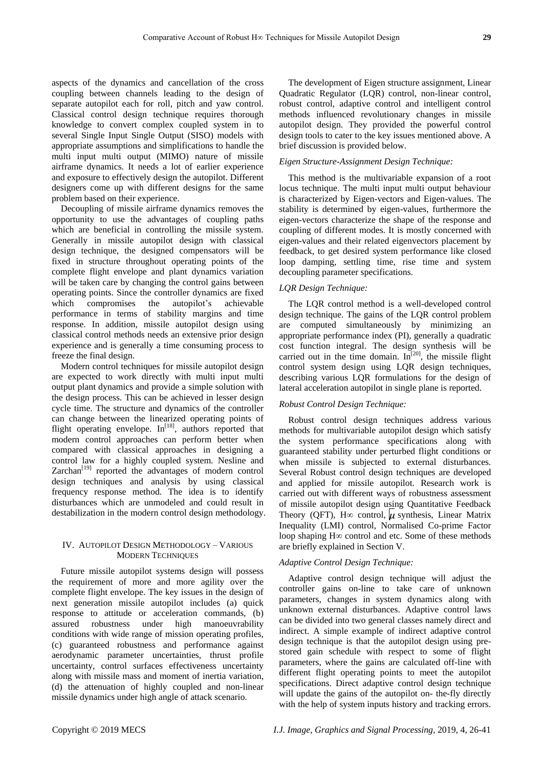aspects of the dynamics and cancellation of the cross coupling between channels leading to the design of separate autopilot each for roll, pitch and yaw control. Classical control design technique requires thorough knowledge to convert complex coupled system in to several Single Input Single Output (SISO) models with appropriate assumptions and simplifications to handle the multi input multi output (MIMO) nature of missile airframe dynamics. It needs a lot of earlier experience and exposure to effectively design the autopilot. Different designers come up with different designs for the same problem based on their experience.

Decoupling of missile airframe dynamics removes the opportunity to use the advantages of coupling paths which are beneficial in controlling the missile system. Generally in missile autopilot design with classical design technique, the designed compensators will be fixed in structure throughout operating points of the complete flight envelope and plant dynamics variation will be taken care by changing the control gains between operating points. Since the controller dynamics are fixed which compromises the autopilot's achievable performance in terms of stability margins and time response. In addition, missile autopilot design using classical control methods needs an extensive prior design experience and is generally a time consuming process to freeze the final design.

Modern control techniques for missile autopilot design are expected to work directly with multi input multi output plant dynamics and provide a simple solution with the design process. This can be achieved in lesser design cycle time. The structure and dynamics of the controller can change between the linearized operating points of flight operating envelope.  $In^{[18]}$ , authors reported that modern control approaches can perform better when compared with classical approaches in designing a control law for a highly coupled system. Nesline and  $Zarchan<sup>[19]</sup>$  reported the advantages of modern control design techniques and analysis by using classical frequency response method. The idea is to identify disturbances which are unmodeled and could result in destabilization in the modern control design methodology.

# IV. AUTOPILOT DESIGN METHODOLOGY – VARIOUS MODERN TECHNIQUES

Future missile autopilot systems design will possess the requirement of more and more agility over the complete flight envelope. The key issues in the design of next generation missile autopilot includes (a) quick response to attitude or acceleration commands, (b) assured robustness under high manoeuvrability conditions with wide range of mission operating profiles, (c) guaranteed robustness and performance against aerodynamic parameter uncertainties, thrust profile uncertainty, control surfaces effectiveness uncertainty along with missile mass and moment of inertia variation, (d) the attenuation of highly coupled and non-linear missile dynamics under high angle of attack scenario.

The development of Eigen structure assignment, Linear Quadratic Regulator (LQR) control, non-linear control, robust control, adaptive control and intelligent control methods influenced revolutionary changes in missile autopilot design. They provided the powerful control design tools to cater to the key issues mentioned above. A brief discussion is provided below.

# *Eigen Structure-Assignment Design Technique:*

This method is the multivariable expansion of a root locus technique. The multi input multi output behaviour is characterized by Eigen-vectors and Eigen-values. The stability is determined by eigen-values, furthermore the eigen-vectors characterize the shape of the response and coupling of different modes. It is mostly concerned with eigen-values and their related eigenvectors placement by feedback, to get desired system performance like closed loop damping, settling time, rise time and system decoupling parameter specifications.

## *LQR Design Technique:*

The LQR control method is a well-developed control design technique. The gains of the LQR control problem are computed simultaneously by minimizing an appropriate performance index (PI), generally a quadratic cost function integral. The design synthesis will be carried out in the time domain.  $\tilde{\text{In}}^{[20]}$ , the missile flight control system design using LQR design techniques, describing various LQR formulations for the design of lateral acceleration autopilot in single plane is reported.

# *Robust Control Design Technique:*

Robust control design techniques address various methods for multivariable autopilot design which satisfy the system performance specifications along with guaranteed stability under perturbed flight conditions or when missile is subjected to external disturbances. Several Robust control design techniques are developed and applied for missile autopilot. Research work is carried out with different ways of robustness assessment of missile autopilot design using Quantitative Feedback Theory (QFT), H∞ control,  $\mu$  synthesis, Linear Matrix Inequality (LMI) control, Normalised Co-prime Factor loop shaping H∞ control and etc. Some of these methods are briefly explained in Section V.

# *Adaptive Control Design Technique:*

Adaptive control design technique will adjust the controller gains on-line to take care of unknown parameters, changes in system dynamics along with unknown external disturbances. Adaptive control laws can be divided into two general classes namely direct and indirect. A simple example of indirect adaptive control design technique is that the autopilot design using prestored gain schedule with respect to some of flight parameters, where the gains are calculated off-line with different flight operating points to meet the autopilot specifications. Direct adaptive control design technique will update the gains of the autopilot on- the-fly directly with the help of system inputs history and tracking errors.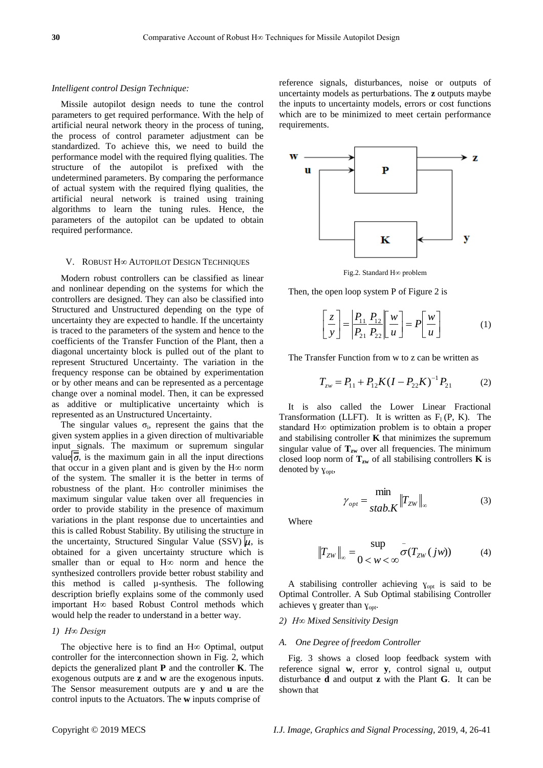#### *Intelligent control Design Technique:*

Missile autopilot design needs to tune the control parameters to get required performance. With the help of artificial neural network theory in the process of tuning, the process of control parameter adjustment can be standardized. To achieve this, we need to build the performance model with the required flying qualities. The structure of the autopilot is prefixed with the undetermined parameters. By comparing the performance of actual system with the required flying qualities, the artificial neural network is trained using training algorithms to learn the tuning rules. Hence, the parameters of the autopilot can be updated to obtain required performance.

#### V. ROBUST H∞ AUTOPILOT DESIGN TECHNIQUES

Modern robust controllers can be classified as linear and nonlinear depending on the systems for which the controllers are designed. They can also be classified into Structured and Unstructured depending on the type of uncertainty they are expected to handle. If the uncertainty is traced to the parameters of the system and hence to the coefficients of the Transfer Function of the Plant, then a diagonal uncertainty block is pulled out of the plant to represent Structured Uncertainty. The variation in the frequency response can be obtained by experimentation or by other means and can be represented as a percentage change over a nominal model. Then, it can be expressed as additive or multiplicative uncertainty which is represented as an Unstructured Uncertainty.

The singular values  $\sigma_i$ , represent the gains that the given system applies in a given direction of multivariable input signals. The maximum or supremum singular value  $\overline{\sigma}$ , is the maximum gain in all the input directions that occur in a given plant and is given by the  $H<sup>\infty</sup>$  norm of the system. The smaller it is the better in terms of robustness of the plant. H∞ controller minimises the maximum singular value taken over all frequencies in order to provide stability in the presence of maximum variations in the plant response due to uncertainties and this is called Robust Stability. By utilising the structure in the uncertainty, Structured Singular Value (SSV)  $\mu$ , is obtained for a given uncertainty structure which is smaller than or equal to H∞ norm and hence the synthesized controllers provide better robust stability and this method is called µ-synthesis. The following description briefly explains some of the commonly used important H∞ based Robust Control methods which would help the reader to understand in a better way.

# *1) H∞ Design*

The objective here is to find an H∞ Optimal, output controller for the interconnection shown in Fig. 2, which depicts the generalized plant **P** and the controller **K**. The exogenous outputs are **z** and **w** are the exogenous inputs. The Sensor measurement outputs are **y** and **u** are the control inputs to the Actuators. The **w** inputs comprise of

reference signals, disturbances, noise or outputs of uncertainty models as perturbations. The **z** outputs maybe the inputs to uncertainty models, errors or cost functions which are to be minimized to meet certain performance requirements.



Fig.2. Standard H∞ problem

Then, the open loop system P of Figure 2 is

$$
\begin{bmatrix} z \\ y \end{bmatrix} = \frac{P_{11}}{P_{21}} \frac{P_{12}}{P_{22}} \begin{bmatrix} w \\ u \end{bmatrix} = P \begin{bmatrix} w \\ u \end{bmatrix}
$$
 (1)

The Transfer Function from w to z can be written as

$$
T_{zw} = P_{11} + P_{12}K(I - P_{22}K)^{-1}P_{21}
$$
 (2)

It is also called the Lower Linear Fractional Transformation (LLFT). It is written as  $F_1(P, K)$ . The standard H∞ optimization problem is to obtain a proper and stabilising controller **K** that minimizes the supremum singular value of  $T_{zw}$  over all frequencies. The minimum closed loop norm of  $T_{zw}$  of all stabilising controllers **K** is denoted by  $\gamma_{\text{opt}}$ ,

$$
\gamma_{opt} = \frac{\min}{stab.K} \|T_{ZW}\|_{\infty}
$$
 (3)

Where

$$
||T_{ZW}||_{\infty} = \frac{\sup}{0 < w < \infty} \sigma(T_{ZW}(jw))
$$
 (4)

A stabilising controller achieving  $y_{\text{opt}}$  is said to be Optimal Controller. A Sub Optimal stabilising Controller achieves y greater than  $y_{\text{opt}}$ .

# *2) H∞ Mixed Sensitivity Design*

## *A. One Degree of freedom Controller*

Fig. 3 shows a closed loop feedback system with reference signal **w**, error **y**, control signal u, output disturbance **d** and output **z** with the Plant **G**. It can be shown that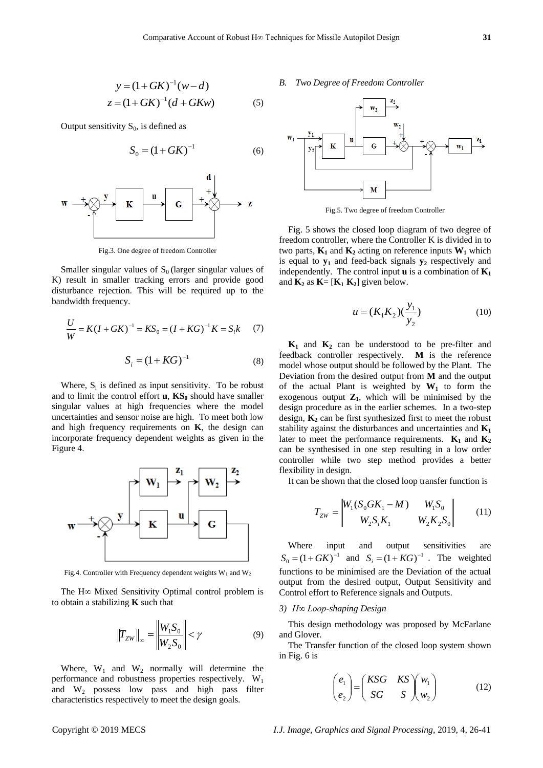$$
y = (1 + GK)^{-1}(w - d)
$$
  
\n
$$
z = (1 + GK)^{-1}(d + GKw)
$$
 (5)

Output sensitivity  $S_0$ , is defined as

$$
S_0 = (1 + GK)^{-1}
$$
 (6)



Fig.3. One degree of freedom Controller

Smaller singular values of  $S_0$  (larger singular values of K) result in smaller tracking errors and provide good disturbance rejection. This will be required up to the bandwidth frequency.

$$
\frac{U}{W} = K(I + GK)^{-1} = KS_0 = (I + KG)^{-1} K = S_i k \tag{7}
$$

$$
S_i = (1 + KG)^{-1}
$$
 (8)

Where,  $S_i$  is defined as input sensitivity. To be robust and to limit the control effort  $\bf{u}$ ,  $\bf{K}S_0$  should have smaller singular values at high frequencies where the model uncertainties and sensor noise are high. To meet both low and high frequency requirements on **K**, the design can incorporate frequency dependent weights as given in the Figure 4.



Fig.4. Controller with Frequency dependent weights  $W_1$  and  $W_2$ 

The H∞ Mixed Sensitivity Optimal control problem is to obtain a stabilizing **K** such that

$$
\left\|T_{ZW}\right\|_{\infty} = \left\|\frac{W_1 S_0}{W_2 S_0}\right| < \gamma
$$
\n(9)

Where,  $W_1$  and  $W_2$  normally will determine the performance and robustness properties respectively.  $W_1$ and W<sup>2</sup> possess low pass and high pass filter characteristics respectively to meet the design goals.

## *B. Two Degree of Freedom Controller*



Fig.5. Two degree of freedom Controller

Fig. 5 shows the closed loop diagram of two degree of freedom controller, where the Controller K is divided in to two parts,  $\mathbf{K}_1$  and  $\mathbf{K}_2$  acting on reference inputs  $\mathbf{W}_1$  which is equal to  $y_1$  and feed-back signals  $y_2$  respectively and independently. The control input  $\bf{u}$  is a combination of  $\bf{K}_1$ and  $\mathbf{K}_2$  as  $\mathbf{K} = [\mathbf{K}_1 \ \mathbf{K}_2]$  given below.

$$
u = (K_1 K_2)(\frac{y_1}{y_2})
$$
 (10)

 $y = (1 + GK)^{-1}$  (a)  $y = (1 + GK)^{-1}$  (b)  $y = 2$  (b)  $y = K(1 - GK)^{-1}$  (b)  $y = K(1 - GK)^{-1}$  (b)  $y = K(1 - GK)^{-1}$  (b)  $y = K(1 - GK)^{-1}$  (b)  $y = K(1 - GK)^{-1}$  (b)  $y = K(1 - GK)^{-1}$  (b)  $y = K(1 - GK)^{-1}$  (b)  $y = K(1 - GK)^{-1}$  (b)  $y = K(1 - GK)^{-1}$  (b)  $y =$  $K_1$  and  $K_2$  can be understood to be pre-filter and feedback controller respectively. **M** is the reference model whose output should be followed by the Plant. The Deviation from the desired output from **M** and the output of the actual Plant is weighted by  $W_1$  to form the exogenous output  $\mathbf{Z}_1$ , which will be minimised by the design procedure as in the earlier schemes. In a two-step design,  $K_2$  can be first synthesized first to meet the robust stability against the disturbances and uncertainties and **K<sup>1</sup>** later to meet the performance requirements.  $\mathbf{K}_1$  and  $\mathbf{K}_2$ can be synthesised in one step resulting in a low order controller while two step method provides a better flexibility in design.

It can be shown that the closed loop transfer function is

$$
T_{ZW} = \begin{vmatrix} W_1(S_0GK_1 - M) & W_1S_0 \\ W_2S_iK_1 & W_2K_2S_0 \end{vmatrix}
$$
 (11)

Where input and output sensitivities are  $S_0 = (1 + GK)^{-1}$  and  $S_i = (1 + KG)^{-1}$ . The weighted functions to be minimised are the Deviation of the actual output from the desired output, Output Sensitivity and Control effort to Reference signals and Outputs.

## *3) H∞ Loop-shaping Design*

This design methodology was proposed by McFarlane and Glover.

The Transfer function of the closed loop system shown in Fig. 6 is

$$
\begin{pmatrix} e_1 \\ e_2 \end{pmatrix} = \begin{pmatrix} KSG & KS \\ SG & S \end{pmatrix} \begin{pmatrix} w_1 \\ w_2 \end{pmatrix}
$$
 (12)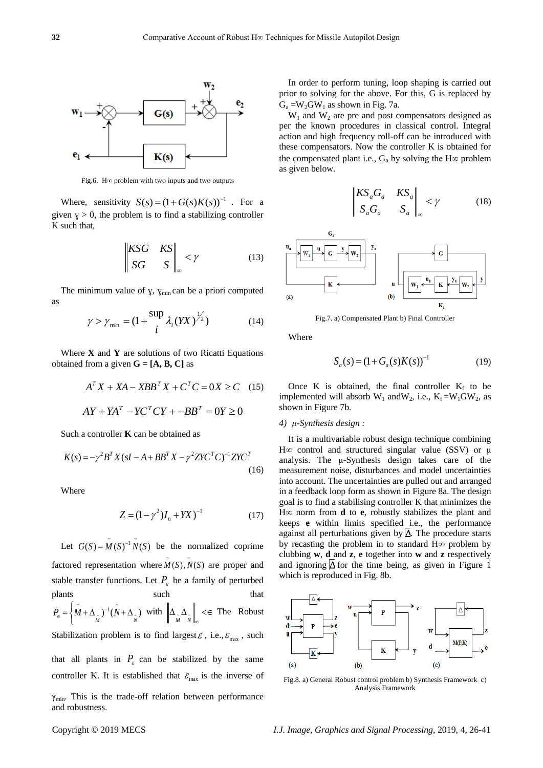

Fig.6. H∞ problem with two inputs and two outputs

Where, sensitivity  $S(s) = (1 + G(s)K(s))^{-1}$ . For a given  $y > 0$ , the problem is to find a stabilizing controller K such that,

$$
\begin{vmatrix} KSG & KS \\ SG & S \end{vmatrix}_{\infty} < \gamma
$$
 (13)

The minimum value of  $\gamma$ ,  $\gamma$ <sub>min</sub> can be a priori computed as

$$
\gamma > \gamma_{\min} = (1 + \frac{\sup_{i} \lambda_{i}(YX)^{\frac{1}{2}})}{i} \tag{14}
$$

Where **X** and **Y** are solutions of two Ricatti Equations obtained from a given  $G = [A, B, C]$  as

$$
AT X + XA - XBBT X + CT C = 0X \ge C \quad (15)
$$
  
 
$$
AY + YAT - YCT CY + -BBT = 0Y \ge 0
$$

Such a controller **K** can be obtained as

$$
K(s) = -\gamma^2 B^T X (sI - A + BB^T X - \gamma^2 Z Y C^T C)^{-1} Z Y C^T
$$
\n(16)

Where

$$
Z = (1 - \gamma^2)I_n + YX^{-1}
$$
 (17)

Let  $G(S) = M(S)^{-1} N(S)$  be the normalized coprime factored representation where  $\tilde{M}(S)$ ,  $\tilde{N}(S)$  are proper and stable transfer functions. Let  $P_{\varepsilon}$  be a family of perturbed plants such that  $(M+\Delta)$ <sup>-1</sup> $(M+\Delta)$  $P_{\epsilon} = \left\{ M + \Delta_{\tilde{M}} \right\}^{-1} (N + \Delta_{\tilde{N}})$  $P_{\epsilon} = \left\{ \tilde{M} + \Delta_{\tilde{M}} \right\}^{-1} (\tilde{N} + \Delta_{\tilde{N}})$  with  $\left\| \Delta_{\tilde{M}} \Delta_{\tilde{N}} \right\|_{\infty} < \epsilon$  $_{\tilde{M}}\Delta_{\tilde{N}}\Big\|_{\infty}\leq\epsilon$  The Robust Stabilization problem is to find largest  $\varepsilon$ , i.e.,  $\varepsilon_{\text{max}}$ , such that all plants in  $P_{\varepsilon}$  can be stabilized by the same controller K. It is established that  $\varepsilon_{\text{max}}$  is the inverse of  $\gamma_{\text{min}}$ . This is the trade-off relation between performance and robustness.

In order to perform tuning, loop shaping is carried out prior to solving for the above. For this, G is replaced by  $G_a = W_2GW_1$  as shown in Fig. 7a.

 $W_1$  and  $W_2$  are pre and post compensators designed as per the known procedures in classical control. Integral action and high frequency roll-off can be introduced with these compensators. Now the controller K is obtained for the compensated plant i.e.,  $G_a$  by solving the H∞ problem as given below.

$$
\begin{vmatrix} KS_a G_a & KS_a \\ S_a G_a & S_a \end{vmatrix} \sim \gamma
$$
 (18)



Fig.7. a) Compensated Plant b) Final Controller

Where

$$
S_a(s) = (1 + G_a(s)K(s))^{-1}
$$
 (19)

Once K is obtained, the final controller  $K_f$  to be implemented will absorb  $W_1$  and  $W_2$ , i.e.,  $K_f = W_1 GW_2$ , as shown in Figure 7b.

# *4) μ-Synthesis design :*

It is a multivariable robust design technique combining H∞ control and structured singular value (SSV) or μ analysis. The μ-Synthesis design takes care of the measurement noise, disturbances and model uncertainties into account. The uncertainties are pulled out and arranged in a feedback loop form as shown in Figure 8a. The design goal is to find a stabilising controller K that minimizes the H∞ norm from **d** to **e**, robustly stabilizes the plant and keeps **e** within limits specified i.e., the performance against all perturbations given by  $\Delta$ . The procedure starts by recasting the problem in to standard H∞ problem by clubbing **w**, **d** and **z**, **e** together into **w** and **z** respectively and ignoring  $\Delta$  for the time being, as given in Figure 1 which is reproduced in Fig. 8b.



Fig.8. a) General Robust control problem b) Synthesis Framework c) Analysis Framework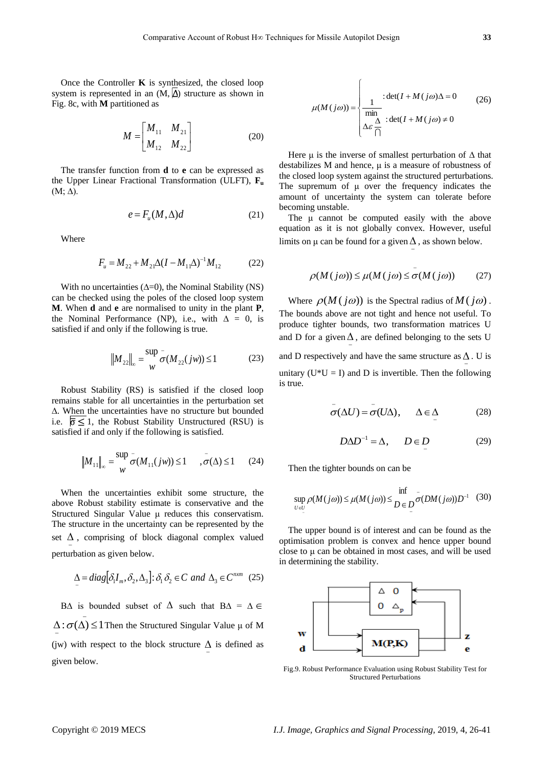Once the Controller **K** is synthesized, the closed loop system is represented in an  $(M, \Delta)$  structure as shown in Fig. 8c, with **M** partitioned as

$$
M = \begin{bmatrix} M_{11} & M_{21} \\ M_{12} & M_{22} \end{bmatrix}
$$
 (20)

The transfer function from **d** to **e** can be expressed as the Upper Linear Fractional Transformation (ULFT), **F<sup>u</sup>**  $(M; \Delta)$ .

$$
e = F_u(M, \Delta)d \tag{21}
$$

Where

$$
F_u = M_{22} + M_{21} \Delta (I - M_{11} \Delta)^{-1} M_{12}
$$
 (22)

With no uncertainties  $(∆=0)$ , the Nominal Stability (NS) can be checked using the poles of the closed loop system **M**. When **d** and **e** are normalised to unity in the plant **P**, the Nominal Performance (NP), i.e., with  $\Delta = 0$ , is satisfied if and only if the following is true.

$$
||M_{22}||_{\infty} = \frac{\sup}{w} \sigma(M_{22}(jw)) \le 1
$$
 (23)

Robust Stability (RS) is satisfied if the closed loop remains stable for all uncertainties in the perturbation set ∆. When the uncertainties have no structure but bounded i.e.  $\overline{\sigma} \leq 1$ , the Robust Stability Unstructured (RSU) is satisfied if and only if the following is satisfied.

$$
\left\|M_{11}\right\|_{\infty} = \frac{\sup}{w} \sigma(M_{11}(jw)) \le 1 \quad , \sigma(\Delta) \le 1 \quad (24)
$$

When the uncertainties exhibit some structure, the above Robust stability estimate is conservative and the Structured Singular Value μ reduces this conservatism. The structure in the uncertainty can be represented by the set  $\Delta$ , comprising of block diagonal complex valued perturbation as given below.

$$
\Delta = diag[\delta_1 I_m, \delta_2, \Delta_3] : \delta_1 \delta_2 \in C \text{ and } \Delta_3 \in C^{n \times m} \quad (25)
$$

B $\Delta$  is bounded subset of  $\Delta$  such that B $\Delta = \Delta \in$ - $\overline{a}$  $\Delta$ :  $\sigma(\Delta)$   $\leq$  1 Then the Structured Singular Value  $\mu$  of M (jw) with respect to the block structure  $\Delta$  is defined as  $\overline{\phantom{0}}$ given below.

$$
\mu(M(j\omega)) = \begin{cases}\n\frac{1}{\min} : \det(I + M(j\omega)\Delta = 0) & (26) \\
\frac{1}{\min} & \det(I + M(j\omega) \neq 0) \\
\Delta \varepsilon \frac{\Delta}{\cap} & (26) \\
\end{cases}
$$

Here  $\mu$  is the inverse of smallest perturbation of  $\Delta$  that destabilizes M and hence, μ is a measure of robustness of the closed loop system against the structured perturbations. The supremum of μ over the frequency indicates the amount of uncertainty the system can tolerate before becoming unstable.

The μ cannot be computed easily with the above equation as it is not globally convex. However, useful limits on  $\mu$  can be found for a given  $\Delta$ , as shown below.

$$
\rho(M(j\omega)) \le \mu(M(j\omega)) \le \sigma(M(j\omega)) \tag{27}
$$

-

Where  $\rho(M(j\omega))$  is the Spectral radius of  $M(j\omega)$ . The bounds above are not tight and hence not useful. To produce tighter bounds, two transformation matrices U and D for a given  $\Delta$ , are defined belonging to the sets U and D respectively and have the same structure as  $\Delta$ . U is ÷ unitary  $(U^*U = I)$  and D is invertible. Then the following is true.

$$
\sigma(\Delta U) = \sigma(U\Delta), \quad \Delta \in \Delta \tag{28}
$$

$$
D\Delta D^{-1} = \Delta, \qquad D \in D \tag{29}
$$

Then the tighter bounds on can be

$$
\sup_{U \in U} \rho(M(j\omega)) \le \mu(M(j\omega)) \le \inf_{D \in D} \sigma(DM(j\omega))D^{-1} \quad (30)
$$

The upper bound is of interest and can be found as the optimisation problem is convex and hence upper bound close to μ can be obtained in most cases, and will be used in determining the stability.



Fig.9. Robust Performance Evaluation using Robust Stability Test for Structured Perturbations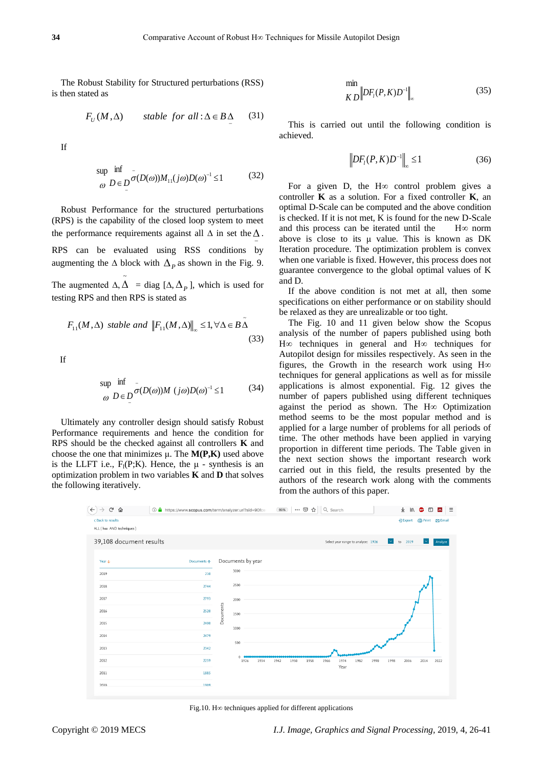The Robust Stability for Structured perturbations (RSS) is then stated as

$$
F_U(M,\Delta) \qquad stable \ for \ all \ \Delta \in B \Delta \tag{31}
$$

If

$$
\sup_{\omega} \inf_{D \in D} \frac{1}{\sigma(D(\omega))M_{11}(j\omega)D(\omega)^{-1}} \le 1 \tag{32}
$$

Robust Performance for the structured perturbations (RPS) is the capability of the closed loop system to meet the performance requirements against all  $\Delta$  in set the  $\Delta$ .  $\overline{\phantom{0}}$ RPS can be evaluated using RSS conditions by augmenting the  $\Delta$  block with  $\Delta_p$  as shown in the Fig. 9. The augmented  $\Delta$ ,  $\Delta$  = diag [ $\Delta$ ,  $\Delta$ <sub>*p*</sub>], which is used for ~ testing RPS and then RPS is stated as

$$
F_{11}(M,\Delta)
$$
 stable and  $||F_{11}(M,\Delta)||_{\infty} \le 1, \forall \Delta \in B\tilde{\Delta}$  (33)

If

$$
\sup_{\omega} \inf_{D \in D} \frac{1}{\sigma(D(\omega))M} (j\omega)D(\omega)^{-1} \le 1
$$
 (34)

Ultimately any controller design should satisfy Robust Performance requirements and hence the condition for RPS should be the checked against all controllers **K** and choose the one that minimizes μ. The **M(P,K)** used above is the LLFT i.e.,  $F_1(P;K)$ . Hence, the  $\mu$  - synthesis is an optimization problem in two variables **K** and **D** that solves the following iteratively.

$$
\min_{K\,D} \left\| DF_i(P, K)D^{-1} \right\|_{\infty} \tag{35}
$$

This is carried out until the following condition is achieved.

$$
\left\| DF_{l}(P,K)D^{-1} \right\|_{\infty} \leq 1
$$
 (36)

For a given D, the H∞ control problem gives a controller **K** as a solution. For a fixed controller **K**, an optimal D-Scale can be computed and the above condition is checked. If it is not met, K is found for the new D-Scale and this process can be iterated until the H∞ norm above is close to its  $\mu$  value. This is known as DK Iteration procedure. The optimization problem is convex when one variable is fixed. However, this process does not guarantee convergence to the global optimal values of K and D.

If the above condition is not met at all, then some specifications on either performance or on stability should be relaxed as they are unrealizable or too tight.

The Fig. 10 and 11 given below show the Scopus analysis of the number of papers published using both H∞ techniques in general and H∞ techniques for Autopilot design for missiles respectively. As seen in the figures, the Growth in the research work using H∞ techniques for general applications as well as for missile applications is almost exponential. Fig. 12 gives the number of papers published using different techniques against the period as shown. The H∞ Optimization method seems to be the most popular method and is applied for a large number of problems for all periods of time. The other methods have been applied in varying proportion in different time periods. The Table given in the next section shows the important research work carried out in this field, the results presented by the authors of the research work along with the comments from the authors of this paper.



Fig.10. H∞ techniques applied for different applications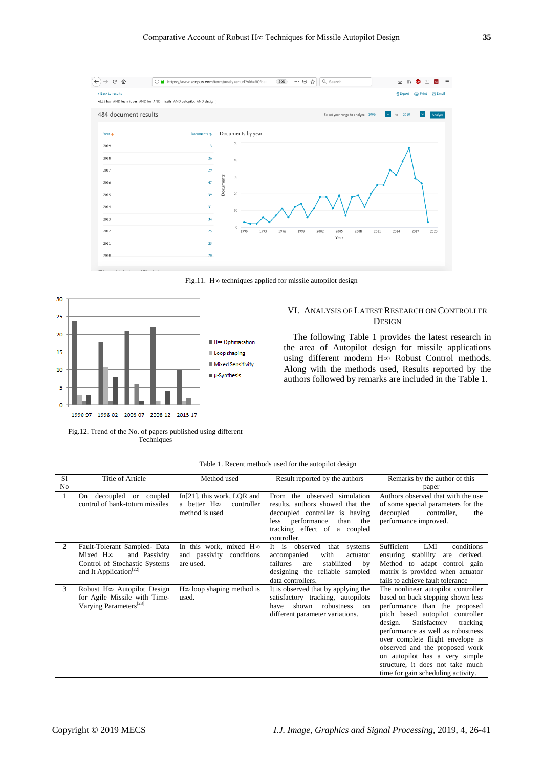

Fig.11. H∞ techniques applied for missile autopilot design



Fig.12. Trend of the No. of papers published using different Techniques



The following Table 1 provides the latest research in the area of Autopilot design for missile applications using different modern H∞ Robust Control methods. Along with the methods used, Results reported by the authors followed by remarks are included in the Table 1.

| S1 | <b>Title of Article</b>            | Method used                                        | Result reported by the authors                                    | Remarks by the author of this                            |
|----|------------------------------------|----------------------------------------------------|-------------------------------------------------------------------|----------------------------------------------------------|
| No |                                    |                                                    |                                                                   | paper                                                    |
| 1  | On decoupled or coupled            | In $[21]$ , this work, LQR and                     | From the observed simulation                                      | Authors observed that with the use                       |
|    | control of bank-toturn missiles    | a better $H\infty$<br>controller<br>method is used | results, authors showed that the                                  | of some special parameters for the<br>controller,<br>the |
|    |                                    |                                                    | decoupled controller is having<br>less performance<br>than<br>the | decoupled<br>performance improved.                       |
|    |                                    |                                                    | tracking effect of a coupled                                      |                                                          |
|    |                                    |                                                    | controller.                                                       |                                                          |
| 2  | Fault-Tolerant Sampled- Data       | In this work, mixed Hoo                            | It is observed<br>that systems                                    | Sufficient<br>conditions<br>LMI                          |
|    | and Passivity<br>Mixed $H\infty$   | and passivity conditions                           | with<br>accompanied<br>actuator                                   | stability<br>derived.<br>ensuring<br>are                 |
|    | Control of Stochastic Systems      | are used.                                          | failures<br>stabilized<br>are<br>by                               | Method to adapt control gain                             |
|    | and It Application <sup>[22]</sup> |                                                    | designing the reliable sampled                                    | matrix is provided when actuator                         |
|    |                                    |                                                    | data controllers.                                                 | fails to achieve fault tolerance                         |
| 3  | Robust H∞ Autopilot Design         | $H\infty$ loop shaping method is                   | It is observed that by applying the                               | The nonlinear autopilot controller                       |
|    | for Agile Missile with Time-       | used.                                              | satisfactory tracking, autopilots                                 | based on back stepping shown less                        |
|    | Varying Parameters <sup>[23]</sup> |                                                    | shown<br>robustness<br>have<br><sub>on</sub>                      | performance than the proposed                            |
|    |                                    |                                                    | different parameter variations.                                   | pitch based autopilot controller                         |
|    |                                    |                                                    |                                                                   | Satisfactory<br>design.<br>tracking                      |
|    |                                    |                                                    |                                                                   | performance as well as robustness                        |
|    |                                    |                                                    |                                                                   | over complete flight envelope is                         |
|    |                                    |                                                    |                                                                   | observed and the proposed work                           |
|    |                                    |                                                    |                                                                   | on autopilot has a very simple                           |
|    |                                    |                                                    |                                                                   | structure, it does not take much                         |
|    |                                    |                                                    |                                                                   | time for gain scheduling activity.                       |

Table 1. Recent methods used for the autopilot design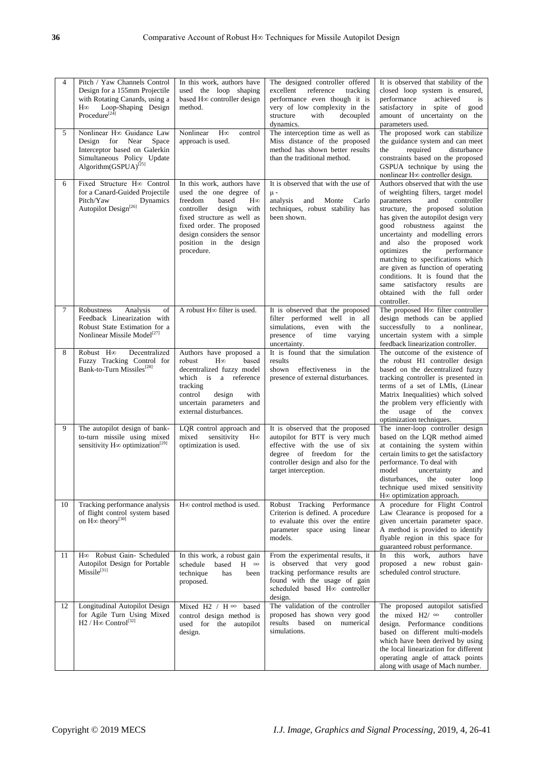| $\overline{4}$<br>5 | Pitch / Yaw Channels Control<br>Design for a 155mm Projectile<br>with Rotating Canards, using a<br>Loop-Shaping Design<br>$H\infty$<br>Procedure <sup>[24]</sup><br>Nonlinear H∞ Guidance Law | In this work, authors have<br>used the loop shaping<br>based H∞ controller design<br>method.<br>Nonlinear<br>$\rm H\infty$<br>control                                                                                                                   | The designed controller offered<br>excellent<br>reference<br>tracking<br>performance even though it is<br>very of low complexity in the<br>with<br>structure<br>decoupled<br>dynamics.<br>The interception time as well as | It is observed that stability of the<br>closed loop system is ensured,<br>performance<br>achieved<br>is<br>satisfactory in spite of good<br>amount of uncertainty on the<br>parameters used.<br>The proposed work can stabilize                                                                                                                                                                                                                                                                                          |
|---------------------|-----------------------------------------------------------------------------------------------------------------------------------------------------------------------------------------------|---------------------------------------------------------------------------------------------------------------------------------------------------------------------------------------------------------------------------------------------------------|----------------------------------------------------------------------------------------------------------------------------------------------------------------------------------------------------------------------------|--------------------------------------------------------------------------------------------------------------------------------------------------------------------------------------------------------------------------------------------------------------------------------------------------------------------------------------------------------------------------------------------------------------------------------------------------------------------------------------------------------------------------|
|                     | Design for<br>Near<br>Space<br>Interceptor based on Galerkin<br>Simultaneous Policy Update<br>Algorithm(GSPUA) <sup>[25]</sup>                                                                | approach is used.                                                                                                                                                                                                                                       | Miss distance of the proposed<br>method has shown better results<br>than the traditional method.                                                                                                                           | the guidance system and can meet<br>the<br>required<br>disturbance<br>constraints based on the proposed<br>GSPUA technique by using the<br>nonlinear H∞ controller design.                                                                                                                                                                                                                                                                                                                                               |
| 6                   | Fixed Structure H <sub>∞</sub> Control<br>for a Canard-Guided Projectile<br>Pitch/Yaw<br>Dynamics<br>Autopilot Design <sup>[26]</sup>                                                         | In this work, authors have<br>used the one degree of<br>freedom<br>based<br>$H\infty$<br>controller<br>design<br>with<br>fixed structure as well as<br>fixed order. The proposed<br>design considers the sensor<br>position in the design<br>procedure. | It is observed that with the use of<br>$\mu$ -<br>analysis<br>and<br>Monte<br>Carlo<br>techniques, robust stability has<br>been shown.                                                                                     | Authors observed that with the use<br>of weighting filters, target model<br>parameters<br>and<br>controller<br>structure, the proposed solution<br>has given the autopilot design very<br>good robustness against the<br>uncertainty and modelling errors<br>and also the proposed work<br>the<br>performance<br>optimizes<br>matching to specifications which<br>are given as function of operating<br>conditions. It is found that the<br>same satisfactory results are<br>obtained with the full order<br>controller. |
| $\tau$              | Analysis<br>Robustness<br>of<br>Feedback Linearization with<br>Robust State Estimation for a<br>Nonlinear Missile Model <sup>[27]</sup>                                                       | A robust H∞ filter is used.                                                                                                                                                                                                                             | It is observed that the proposed<br>filter performed well in all<br>simulations,<br>even with<br>the<br>presence<br>time<br>of<br>varying<br>uncertainty.                                                                  | The proposed H <sub>∞</sub> filter controller<br>design methods can be applied<br>successfully to a nonlinear,<br>uncertain system with a simple<br>feedback linearization controller.                                                                                                                                                                                                                                                                                                                                   |
| 8                   | Robust H∞<br>Decentralized<br>Fuzzy Tracking Control for<br>Bank-to-Turn Missiles <sup>[28]</sup>                                                                                             | Authors have proposed a<br>robust<br>$H\infty$<br>based<br>decentralized fuzzy model<br>which is a reference<br>tracking<br>control<br>design<br>with<br>uncertain parameters and<br>external disturbances.                                             | It is found that the simulation<br>results<br>shown<br>effectiveness<br>in<br>the<br>presence of external disturbances.                                                                                                    | The outcome of the existence of<br>the robust H1 controller design<br>based on the decentralized fuzzy<br>tracking controller is presented in<br>terms of a set of LMIs, (Linear<br>Matrix Inequalities) which solved<br>the problem very efficiently with<br>the usage of the<br>convex<br>optimization techniques.                                                                                                                                                                                                     |
| 9                   | The autopilot design of bank-<br>to-turn missile using mixed<br>sensitivity $H\infty$ optimization <sup>[29]</sup>                                                                            | LQR control approach and<br>mixed<br>sensitivity<br>$H\infty$<br>optimization is used.                                                                                                                                                                  | It is observed that the proposed<br>autopilot for BTT is very much<br>effective with the use of six<br>degree of freedom for the<br>controller design and also for the<br>target interception.                             | The inner-loop controller design<br>based on the LQR method aimed<br>at containing the system within<br>certain limits to get the satisfactory<br>performance. To deal with<br>model<br>uncertainty<br>and<br>the outer<br>disturbances,<br>loop<br>technique used mixed sensitivity<br>H∞ optimization approach.                                                                                                                                                                                                        |
| 10                  | Tracking performance analysis<br>of flight control system based<br>on H∞ theory <sup>[30]</sup>                                                                                               | H∞ control method is used.                                                                                                                                                                                                                              | Robust Tracking Performance<br>Criterion is defined. A procedure<br>to evaluate this over the entire<br>parameter space using linear<br>models.                                                                            | A procedure for Flight Control<br>Law Clearance is proposed for a<br>given uncertain parameter space.<br>A method is provided to identify<br>flyable region in this space for<br>guaranteed robust performance.                                                                                                                                                                                                                                                                                                          |
| 11                  | H <sub>∞</sub> Robust Gain- Scheduled<br>Autopilot Design for Portable<br>$Missile^{[31]}$                                                                                                    | In this work, a robust gain<br>schedule<br>based<br>$H \n\infty$<br>technique<br>has<br>been<br>proposed.                                                                                                                                               | From the experimental results, it<br>is observed that very good<br>tracking performance results are<br>found with the usage of gain<br>scheduled based H <sub>∞</sub> controller<br>design.                                | In<br>this<br>work.<br>authors<br>have<br>proposed a new robust gain-<br>scheduled control structure.                                                                                                                                                                                                                                                                                                                                                                                                                    |
| 12                  | Longitudinal Autopilot Design<br>for Agile Turn Using Mixed<br>$H2 / H\infty$ Control <sup>[32]</sup>                                                                                         | Mixed H2 / H $\infty$ based<br>control design method is<br>used for the autopilot<br>design.                                                                                                                                                            | The validation of the controller<br>proposed has shown very good<br>results based<br>on<br>numerical<br>simulations.                                                                                                       | The proposed autopilot satisfied<br>the mixed H2/ $\infty$<br>controller<br>design. Performance conditions<br>based on different multi-models<br>which have been derived by using<br>the local linearization for different<br>operating angle of attack points<br>along with usage of Mach number.                                                                                                                                                                                                                       |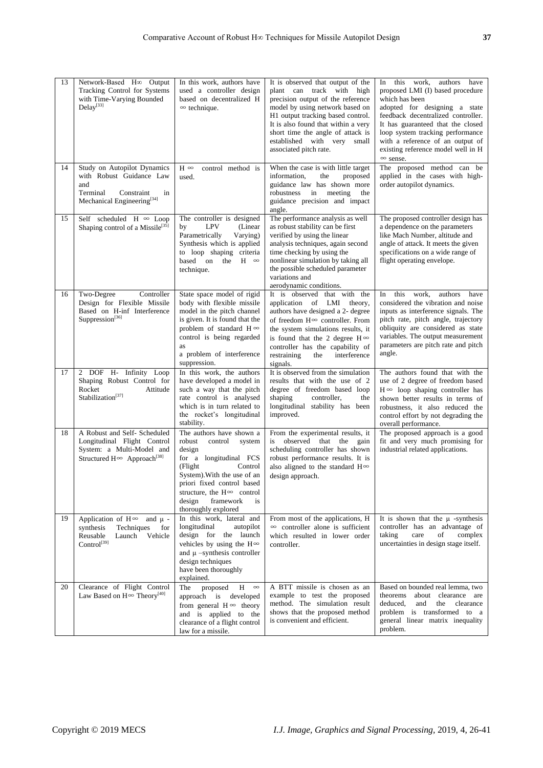| 13 | Network-Based H∞ Output<br>Tracking Control for Systems<br>with Time-Varying Bounded<br>Delay <sup>[33]</sup>                                | In this work, authors have<br>used a controller design<br>based on decentralized H<br>$\infty$ technique.                                                                                                                                                                  | It is observed that output of the<br>plant can track with high<br>precision output of the reference<br>model by using network based on<br>H1 output tracking based control.<br>It is also found that within a very<br>short time the angle of attack is<br>established with very<br>small<br>associated pitch rate. | this<br>work,<br>authors have<br>In<br>proposed LMI (I) based procedure<br>which has been<br>adopted for designing a state<br>feedback decentralized controller.<br>It has guaranteed that the closed<br>loop system tracking performance<br>with a reference of an output of<br>existing reference model well in H<br>$\infty$ sense. |
|----|----------------------------------------------------------------------------------------------------------------------------------------------|----------------------------------------------------------------------------------------------------------------------------------------------------------------------------------------------------------------------------------------------------------------------------|---------------------------------------------------------------------------------------------------------------------------------------------------------------------------------------------------------------------------------------------------------------------------------------------------------------------|----------------------------------------------------------------------------------------------------------------------------------------------------------------------------------------------------------------------------------------------------------------------------------------------------------------------------------------|
| 14 | Study on Autopilot Dynamics<br>with Robust Guidance Law<br>and<br>Terminal<br>Constraint<br>in<br>Mechanical Engineering $^{[34]}$           | $H \infty$<br>control method is<br>used.                                                                                                                                                                                                                                   | When the case is with little target<br>information.<br>the<br>proposed<br>guidance law has shown more<br>robustness in meeting<br>the<br>guidance precision and impact<br>angle.                                                                                                                                    | The proposed method can be<br>applied in the cases with high-<br>order autopilot dynamics.                                                                                                                                                                                                                                             |
| 15 | Self scheduled H $\infty$ Loop<br>Shaping control of a Missile <sup>[35]</sup>                                                               | The controller is designed<br><b>LPV</b><br>(Linear)<br>by<br>Parametrically<br>Varying)<br>Synthesis which is applied<br>to loop shaping criteria<br>based on the<br>$H \n\infty$<br>technique.                                                                           | The performance analysis as well<br>as robust stability can be first<br>verified by using the linear<br>analysis techniques, again second<br>time checking by using the<br>nonlinear simulation by taking all<br>the possible scheduled parameter<br>variations and<br>aerodynamic conditions.                      | The proposed controller design has<br>a dependence on the parameters<br>like Mach Number, altitude and<br>angle of attack. It meets the given<br>specifications on a wide range of<br>flight operating envelope.                                                                                                                       |
| 16 | Two-Degree<br>Controller<br>Design for Flexible Missile<br>Based on H-inf Interference<br>Suppression <sup>[36]</sup>                        | State space model of rigid<br>body with flexible missile<br>model in the pitch channel<br>is given. It is found that the<br>problem of standard $H \infty$<br>control is being regarded<br>as<br>a problem of interference<br>suppression.                                 | It is observed that with the<br>application of LMI theory,<br>authors have designed a 2- degree<br>of freedom $H^{\infty}$ controller. From<br>the system simulations results, it<br>is found that the 2 degree $H \infty$<br>controller has the capability of<br>restraining<br>the<br>interference<br>signals.    | this<br>work.<br>authors<br>In<br>have<br>considered the vibration and noise<br>inputs as interference signals. The<br>pitch rate, pitch angle, trajectory<br>obliquity are considered as state<br>variables. The output measurement<br>parameters are pitch rate and pitch<br>angle.                                                  |
| 17 | 2 DOF H- Infinity Loop<br>Shaping Robust Control for<br>Rocket<br>Attitude<br>Stabilization <sup>[37]</sup>                                  | In this work, the authors<br>have developed a model in<br>such a way that the pitch<br>rate control is analysed<br>which is in turn related to<br>the rocket's longitudinal<br>stability.                                                                                  | It is observed from the simulation<br>results that with the use of 2<br>degree of freedom based loop<br>shaping<br>controller,<br>the<br>longitudinal stability has been<br>improved.                                                                                                                               | The authors found that with the<br>use of 2 degree of freedom based<br>$H \infty$ loop shaping controller has<br>shown better results in terms of<br>robustness, it also reduced the<br>control effort by not degrading the<br>overall performance.                                                                                    |
| 18 | A Robust and Self- Scheduled<br>Longitudinal Flight Control<br>System: a Multi-Model and<br>Structured $H^{\infty}$ Approach <sup>[38]</sup> | The authors have shown a<br>robust<br>control<br>system<br>design<br>for a longitudinal FCS<br>Control<br>(Flight)<br>System). With the use of an<br>priori fixed control based<br>structure, the $H^{\infty}$ control<br>design<br>framework<br>is<br>thoroughly explored | From the experimental results, it<br>observed that the<br>is<br>gain<br>scheduling controller has shown<br>robust performance results. It is<br>also aligned to the standard $H^{\infty}$<br>design approach.                                                                                                       | The proposed approach is a good<br>fit and very much promising for<br>industrial related applications.                                                                                                                                                                                                                                 |
| 19 | Application of $H^{\infty}$ and $\mu$ -<br>synthesis<br>Techniques<br>for<br>Reusable<br>Launch Vehicle<br>$Control^{[39]}$                  | In this work, lateral and<br>longitudinal<br>autopilot<br>design for the launch<br>vehicles by using the $H^{\infty}$<br>and $\mu$ -synthesis controller<br>design techniques<br>have been thoroughly<br>explained.                                                        | From most of the applications, H<br>$\infty$ controller alone is sufficient<br>which resulted in lower order<br>controller.                                                                                                                                                                                         | It is shown that the $\mu$ -synthesis<br>controller has an advantage of<br>taking<br>complex<br>care<br>of<br>uncertainties in design stage itself.                                                                                                                                                                                    |
| 20 | Clearance of Flight Control<br>Law Based on $\mathrm{H} \! \infty$ Theory<br>$^{[40]}$                                                       | The proposed<br>$H \n\infty$<br>approach is developed<br>from general $H \infty$ theory<br>and is applied to the<br>clearance of a flight control<br>law for a missile.                                                                                                    | A BTT missile is chosen as an<br>example to test the proposed<br>method. The simulation result<br>shows that the proposed method<br>is convenient and efficient.                                                                                                                                                    | Based on bounded real lemma, two<br>theorems<br>about clearance are<br>deduced,<br>and<br>the<br>clearance<br>problem is transformed to a<br>general linear matrix inequality<br>problem.                                                                                                                                              |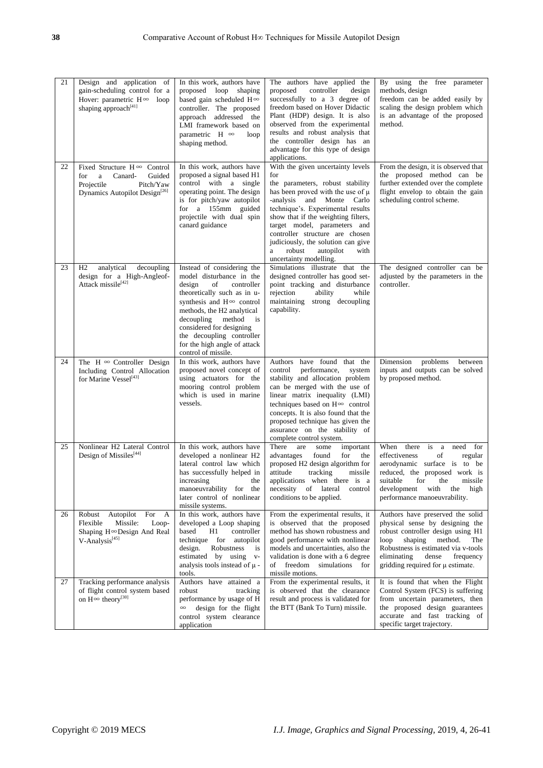| 21 | Design and application of<br>gain-scheduling control for a<br>Hover: parametric $H \infty$ loop<br>shaping approach <sup>[41]</sup>                    | In this work, authors have<br>proposed loop<br>shaping<br>based gain scheduled $H \infty$<br>controller. The proposed<br>approach addressed the<br>LMI framework based on<br>parametric H $\infty$<br>loop<br>shaping method.                                                                                                         | The authors have applied the<br>proposed<br>controller<br>design<br>successfully to a 3 degree of<br>freedom based on Hover Didactic<br>Plant (HDP) design. It is also<br>observed from the experimental<br>results and robust analysis that<br>the controller design has an<br>advantage for this type of design<br>applications.                                                                    | By using the free parameter<br>methods, design<br>freedom can be added easily by<br>scaling the design problem which<br>is an advantage of the proposed<br>method.                                                                                                 |
|----|--------------------------------------------------------------------------------------------------------------------------------------------------------|---------------------------------------------------------------------------------------------------------------------------------------------------------------------------------------------------------------------------------------------------------------------------------------------------------------------------------------|-------------------------------------------------------------------------------------------------------------------------------------------------------------------------------------------------------------------------------------------------------------------------------------------------------------------------------------------------------------------------------------------------------|--------------------------------------------------------------------------------------------------------------------------------------------------------------------------------------------------------------------------------------------------------------------|
| 22 | Fixed Structure $H \infty$ Control<br>$\mathbf{a}$<br>Canard-<br>Guided<br>for<br>Projectile<br>Pitch/Yaw<br>Dynamics Autopilot Design <sup>[26]</sup> | In this work, authors have<br>proposed a signal based H1<br>control with a single<br>operating point. The design<br>is for pitch/yaw autopilot<br>for a 155mm guided<br>projectile with dual spin<br>canard guidance                                                                                                                  | With the given uncertainty levels<br>for<br>the parameters, robust stability<br>has been proved with the use of $\mu$<br>-analysis and Monte Carlo<br>technique's. Experimental results<br>show that if the weighting filters,<br>target model, parameters and<br>controller structure are chosen<br>judiciously, the solution can give<br>robust<br>autopilot<br>a<br>with<br>uncertainty modelling. | From the design, it is observed that<br>the proposed method can be<br>further extended over the complete<br>flight envelop to obtain the gain<br>scheduling control scheme.                                                                                        |
| 23 | H <sub>2</sub><br>analytical<br>decoupling<br>design for a High-Angleof-<br>Attack missile <sup>[42]</sup>                                             | Instead of considering the<br>model disturbance in the<br>design<br>controller<br>of<br>theoretically such as in u-<br>synthesis and $H^{\infty}$ control<br>methods, the H2 analytical<br>decoupling<br>method<br>is<br>considered for designing<br>the decoupling controller<br>for the high angle of attack<br>control of missile. | Simulations illustrate that the<br>designed controller has good set-<br>point tracking and disturbance<br>rejection<br>ability<br>while<br>maintaining strong decoupling<br>capability.                                                                                                                                                                                                               | The designed controller can be<br>adjusted by the parameters in the<br>controller.                                                                                                                                                                                 |
| 24 | The H $\infty$ Controller Design<br>Including Control Allocation<br>for Marine Vessel <sup>[43]</sup>                                                  | In this work, authors have<br>proposed novel concept of<br>using actuators for the<br>mooring control problem<br>which is used in marine<br>vessels.                                                                                                                                                                                  | Authors have found that the<br>control<br>performance,<br>system<br>stability and allocation problem<br>can be merged with the use of<br>linear matrix inequality (LMI)<br>techniques based on H∞ control<br>concepts. It is also found that the<br>proposed technique has given the<br>assurance on the stability of<br>complete control system.                                                     | Dimension<br>problems<br>between<br>inputs and outputs can be solved<br>by proposed method.                                                                                                                                                                        |
| 25 | Nonlinear H2 Lateral Control<br>Design of Missiles <sup>[44]</sup>                                                                                     | In this work, authors have<br>developed a nonlinear H2<br>lateral control law which<br>has successfully helped in<br>increasing the<br>manoeuvrability for the<br>later control of nonlinear<br>missile systems.                                                                                                                      | There<br>are<br>some<br>important<br>found<br>for<br>the<br>advantages<br>proposed H2 design algorithm for<br>attitude<br>tracking<br>missile<br>applications when there is a<br>necessity of lateral<br>control<br>conditions to be applied.                                                                                                                                                         | there<br>When<br>is<br>need<br>for<br>a<br>effectiveness<br>of<br>regular<br>aerodynamic surface is to be<br>reduced, the proposed work is<br>suitable for the missile<br>development with<br>the<br>high<br>performance manoeuvrability.                          |
| 26 | Robust Autopilot<br>For<br>A<br>Missile:<br>Flexible<br>Loop-<br>Shaping H∞Design And Real<br>V-Analysis <sup>[45]</sup>                               | In this work, authors have<br>developed a Loop shaping<br>based<br>H1<br>controller<br>technique for autopilot<br>design.<br>Robustness<br>is<br>estimated by using v-<br>analysis tools instead of $\mu$ -<br>tools.                                                                                                                 | From the experimental results, it<br>is observed that the proposed<br>method has shown robustness and<br>good performance with nonlinear<br>models and uncertainties, also the<br>validation is done with a 6 degree<br>of freedom simulations for<br>missile motions.                                                                                                                                | Authors have preserved the solid<br>physical sense by designing the<br>robust controller design using H1<br>method.<br>loop<br>shaping<br>The<br>Robustness is estimated via v-tools<br>eliminating<br>dense<br>frequency<br>gridding required for $\mu$ estimate. |
| 27 | Tracking performance analysis<br>of flight control system based<br>on $H^{\infty}$ theory <sup>[30]</sup>                                              | Authors have attained a<br>robust<br>tracking<br>performance by usage of H<br>design for the flight<br>control system clearance<br>application                                                                                                                                                                                        | From the experimental results, it<br>is observed that the clearance<br>result and process is validated for<br>the BTT (Bank To Turn) missile.                                                                                                                                                                                                                                                         | It is found that when the Flight<br>Control System (FCS) is suffering<br>from uncertain parameters, then<br>the proposed design guarantees<br>accurate and fast tracking of<br>specific target trajectory.                                                         |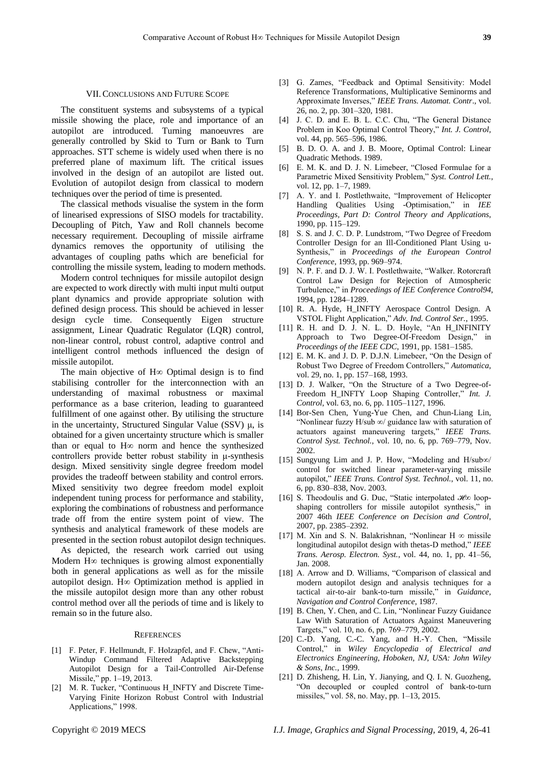## VII.CONCLUSIONS AND FUTURE SCOPE

The constituent systems and subsystems of a typical missile showing the place, role and importance of an autopilot are introduced. Turning manoeuvres are generally controlled by Skid to Turn or Bank to Turn approaches. STT scheme is widely used when there is no preferred plane of maximum lift. The critical issues involved in the design of an autopilot are listed out. Evolution of autopilot design from classical to modern techniques over the period of time is presented.

The classical methods visualise the system in the form of linearised expressions of SISO models for tractability. Decoupling of Pitch, Yaw and Roll channels become necessary requirement. Decoupling of missile airframe dynamics removes the opportunity of utilising the advantages of coupling paths which are beneficial for controlling the missile system, leading to modern methods.

Modern control techniques for missile autopilot design are expected to work directly with multi input multi output plant dynamics and provide appropriate solution with defined design process. This should be achieved in lesser design cycle time. Consequently Eigen structure assignment, Linear Quadratic Regulator (LQR) control, non-linear control, robust control, adaptive control and intelligent control methods influenced the design of missile autopilot.

The main objective of H∞ Optimal design is to find stabilising controller for the interconnection with an understanding of maximal robustness or maximal performance as a base criterion, leading to guaranteed fulfillment of one against other. By utilising the structure in the uncertainty, Structured Singular Value (SSV)  $\mu$ , is obtained for a given uncertainty structure which is smaller than or equal to H∞ norm and hence the synthesized controllers provide better robust stability in μ-synthesis design. Mixed sensitivity single degree freedom model provides the tradeoff between stability and control errors. Mixed sensitivity two degree freedom model exploit independent tuning process for performance and stability, exploring the combinations of robustness and performance trade off from the entire system point of view. The synthesis and analytical framework of these models are presented in the section robust autopilot design techniques.

As depicted, the research work carried out using Modern H∞ techniques is growing almost exponentially both in general applications as well as for the missile autopilot design. H*∞* Optimization method is applied in the missile autopilot design more than any other robust control method over all the periods of time and is likely to remain so in the future also.

## **REFERENCES**

- [1] F. Peter, F. Hellmundt, F. Holzapfel, and F. Chew, "Anti-Windup Command Filtered Adaptive Backstepping Autopilot Design for a Tail-Controlled Air-Defense Missile," pp. 1–19, 2013.
- [2] M. R. Tucker, "Continuous H\_INFTY and Discrete Time-Varying Finite Horizon Robust Control with Industrial Applications," 1998.
- [3] G. Zames, "Feedback and Optimal Sensitivity: Model Reference Transformations, Multiplicative Seminorms and Approximate Inverses," *IEEE Trans. Automat. Contr*., vol. 26, no. 2, pp. 301–320, 1981.
- [4] J. C. D. and E. B. L. C.C. Chu, "The General Distance Problem in Koo Optimal Control Theory," *Int. J. Control,* vol. 44, pp. 565–596, 1986.
- [5] B. D. O. A. and J. B. Moore, Optimal Control: Linear Quadratic Methods. 1989.
- [6] E. M. K. and D. J. N. Limebeer, "Closed Formulae for a Parametric Mixed Sensitivity Problem," *Syst. Control Lett.*, vol. 12, pp. 1–7, 1989.
- [7] A. Y. and I. Postlethwaite, "Improvement of Helicopter Handling Qualities Using -Optimisation," in *IEE Proceedings, Part D: Control Theory and Applications*, 1990, pp. 115–129.
- [8] S. S. and J. C. D. P. Lundstrom, "Two Degree of Freedom Controller Design for an Ill-Conditioned Plant Using u-Synthesis," in *Proceedings of the European Control Conference*, 1993, pp. 969–974.
- [9] N. P. F. and D. J. W. I. Postlethwaite, "Walker. Rotorcraft Control Law Design for Rejection of Atmospheric Turbulence," in *Proceedings of IEE Conference Control94*, 1994, pp. 1284–1289.
- [10] R. A. Hyde, H\_INFTY Aerospace Control Design. A VSTOL Flight Application," *Adv. Ind. Control Ser.*, 1995.
- [11] R. H. and D. J. N. L. D. Hoyle, "An H\_INFINITY Approach to Two Degree-Of-Freedom Design," in *Proceedings of the IEEE CDC*, 1991, pp. 1581–1585.
- [12] E. M. K. and J. D. P. D.J.N. Limebeer, "On the Design of Robust Two Degree of Freedom Controllers," *Automatica*, vol. 29, no. 1, pp. 157–168, 1993.
- [13] D. J. Walker, "On the Structure of a Two Degree-of-Freedom H\_INFTY Loop Shaping Controller," *Int. J. Control*, vol. 63, no. 6, pp. 1105–1127, 1996.
- [14] Bor-Sen Chen, Yung-Yue Chen, and Chun-Liang Lin, "Nonlinear fuzzy H/sub ∞/ guidance law with saturation of actuators against maneuvering targets," *IEEE Trans. Control Syst. Technol.*, vol. 10, no. 6, pp. 769–779, Nov. 2002.
- [15] Sungyung Lim and J. P. How, "Modeling and H/sub∞/ control for switched linear parameter-varying missile autopilot," *IEEE Trans. Control Syst. Technol.*, vol. 11, no. 6, pp. 830–838, Nov. 2003.
- [16] S. Theodoulis and G. Duc, "Static interpolated ℋ∞ loopshaping controllers for missile autopilot synthesis," in 2007 46th *IEEE Conference on Decision and Control*, 2007, pp. 2385–2392.
- [17] M. Xin and S. N. Balakrishnan, "Nonlinear H  $\infty$  missile longitudinal autopilot design with thetas-D method," *IEEE Trans. Aerosp. Electron. Syst.*, vol. 44, no. 1, pp. 41–56, Jan. 2008.
- [18] A. Arrow and D. Williams, "Comparison of classical and modern autopilot design and analysis techniques for a tactical air-to-air bank-to-turn missile," in *Guidance, Navigation and Control Conference*, 1987.
- [19] B. Chen, Y. Chen, and C. Lin, "Nonlinear Fuzzy Guidance" Law With Saturation of Actuators Against Maneuvering Targets," vol. 10, no. 6, pp. 769–779, 2002.
- [20] C.-D. Yang, C.-C. Yang, and H.-Y. Chen, "Missile Control," in *Wiley Encyclopedia of Electrical and Electronics Engineering, Hoboken, NJ, USA: John Wiley & Sons, Inc.*, 1999.
- [21] D. Zhisheng, H. Lin, Y. Jianying, and Q. I. N. Guozheng, "On decoupled or coupled control of bank-to-turn missiles," vol. 58, no. May, pp. 1–13, 2015.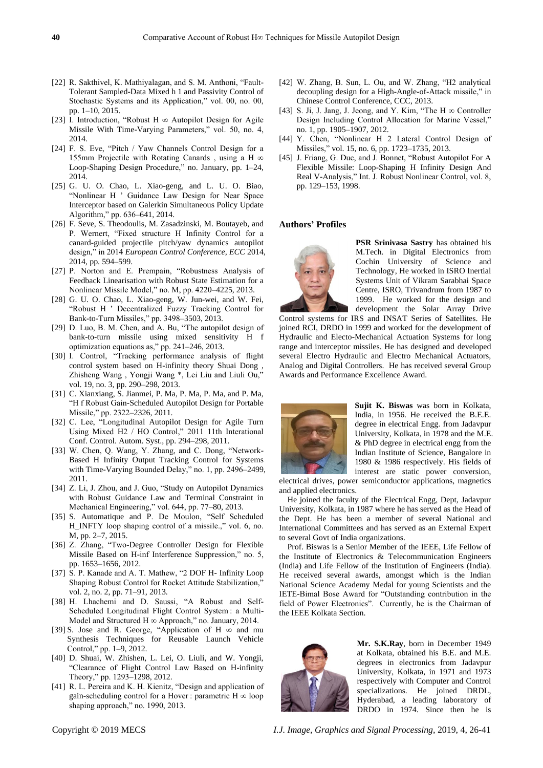- [22] R. Sakthivel, K. Mathiyalagan, and S. M. Anthoni, "Fault-Tolerant Sampled-Data Mixed h 1 and Passivity Control of Stochastic Systems and its Application," vol. 00, no. 00, pp. 1–10, 2015.
- [23] I. Introduction, "Robust H  $\infty$  Autopilot Design for Agile Missile With Time-Varying Parameters," vol. 50, no. 4, 2014.
- [24] F. S. Eve, "Pitch / Yaw Channels Control Design for a 155mm Projectile with Rotating Canards , using a H ∞ Loop-Shaping Design Procedure," no. January, pp. 1–24, 2014.
- [25] G. U. O. Chao, L. Xiao-geng, and L. U. O. Biao, "Nonlinear H ' Guidance Law Design for Near Space Interceptor based on Galerkin Simultaneous Policy Update Algorithm," pp. 636–641, 2014.
- [26] F. Seve, S. Theodoulis, M. Zasadzinski, M. Boutayeb, and P. Wernert, "Fixed structure H Infinity Control for a canard-guided projectile pitch/yaw dynamics autopilot design," in 2014 *European Control Conference, ECC* 2014, 2014, pp. 594–599.
- [27] P. Norton and E. Prempain, "Robustness Analysis of Feedback Linearisation with Robust State Estimation for a Nonlinear Missile Model," no. M, pp. 4220–4225, 2013.
- [28] G. U. O. Chao, L. Xiao-geng, W. Jun-wei, and W. Fei, "Robust H ' Decentralized Fuzzy Tracking Control for Bank-to-Turn Missiles," pp. 3498–3503, 2013.
- [29] D. Luo, B. M. Chen, and A. Bu, "The autopilot design of bank-to-turn missile using mixed sensitivity H f optimization equations as," pp. 241–246, 2013.
- [30] I. Control, "Tracking performance analysis of flight control system based on H-infinity theory Shuai Dong , Zhisheng Wang , Yongji Wang \*, Lei Liu and Liuli Ou," vol. 19, no. 3, pp. 290–298, 2013.
- [31] C. Xianxiang, S. Jianmei, P. Ma, P. Ma, P. Ma, and P. Ma, "H f Robust Gain-Scheduled Autopilot Design for Portable Missile," pp. 2322–2326, 2011.
- [32] C. Lee, "Longitudinal Autopilot Design for Agile Turn Using Mixed H2 / HO Control," 2011 11th Interational Conf. Control. Autom. Syst., pp. 294–298, 2011.
- [33] W. Chen, Q. Wang, Y. Zhang, and C. Dong, "Network-Based H Infinity Output Tracking Control for Systems with Time-Varying Bounded Delay," no. 1, pp. 2496–2499, 2011.
- [34] Z. Li, J. Zhou, and J. Guo, "Study on Autopilot Dynamics with Robust Guidance Law and Terminal Constraint in Mechanical Engineering," vol. 644, pp. 77–80, 2013.
- [35] S. Automatique and P. De Moulon, "Self Scheduled H\_INFTY loop shaping control of a missile.," vol. 6, no. M, pp. 2–7, 2015.
- [36] Z. Zhang, "Two-Degree Controller Design for Flexible Missile Based on H-inf Interference Suppression," no. 5, pp. 1653–1656, 2012.
- [37] S. P. Kanade and A. T. Mathew, "2 DOF H- Infinity Loop Shaping Robust Control for Rocket Attitude Stabilization," vol. 2, no. 2, pp. 71–91, 2013.
- [38] H. Lhachemi and D. Saussi, "A Robust and Self-Scheduled Longitudinal Flight Control System : a Multi-Model and Structured H ∞ Approach," no. January, 2014.
- [39] S. Jose and R. George, "Application of H ∞ and mu Synthesis Techniques for Reusable Launch Vehicle Control," pp. 1–9, 2012.
- [40] D. Shuai, W. Zhishen, L. Lei, O. Liuli, and W. Yongii, "Clearance of Flight Control Law Based on H-infinity Theory," pp. 1293–1298, 2012.
- [41] R. L. Pereira and K. H. Kienitz, "Design and application of gain-scheduling control for a Hover : parametric  $H \infty$  loop shaping approach," no. 1990, 2013.
- [42] W. Zhang, B. Sun, L. Ou, and W. Zhang, "H2 analytical decoupling design for a High-Angle-of-Attack missile," in Chinese Control Conference, CCC, 2013.
- [43] S. Ji, J. Jang, J. Jeong, and Y. Kim, "The H ∞ Controller Design Including Control Allocation for Marine Vessel," no. 1, pp. 1905–1907, 2012.
- [44] Y. Chen, "Nonlinear H 2 Lateral Control Design of Missiles," vol. 15, no. 6, pp. 1723–1735, 2013.
- [45] J. Friang, G. Duc, and J. Bonnet, "Robust Autopilot For A Flexible Missile: Loop-Shaping H Infinity Design And Real V-Analysis," Int. J. Robust Nonlinear Control, vol. 8, pp. 129–153, 1998.

## **Authors' Profiles**



**PSR Srinivasa Sastry** has obtained his M.Tech. in Digital Electronics from Cochin University of Science and Technology, He worked in ISRO Inertial Systems Unit of Vikram Sarabhai Space Centre, ISRO, Trivandrum from 1987 to 1999. He worked for the design and development the Solar Array Drive

Control systems for IRS and INSAT Series of Satellites. He joined RCI, DRDO in 1999 and worked for the development of Hydraulic and Electo-Mechanical Actuation Systems for long range and interceptor missiles. He has designed and developed several Electro Hydraulic and Electro Mechanical Actuators, Analog and Digital Controllers. He has received several Group Awards and Performance Excellence Award.



**Sujit K. Biswas** was born in Kolkata, India, in 1956. He received the B.E.E. degree in electrical Engg. from Jadavpur University, Kolkata, in 1978 and the M.E. & PhD degree in electrical engg from the Indian Institute of Science, Bangalore in 1980 & 1986 respectively. His fields of interest are static power conversion,

electrical drives, power semiconductor applications, magnetics and applied electronics.

He joined the faculty of the Electrical Engg, Dept, Jadavpur University, Kolkata, in 1987 where he has served as the Head of the Dept. He has been a member of several National and International Committees and has served as an External Expert to several Govt of India organizations.

Prof. Biswas is a Senior Member of the IEEE, Life Fellow of the Institute of Electronics & Telecommunication Engineers (India) and Life Fellow of the Institution of Engineers (India). He received several awards, amongst which is the Indian National Science Academy Medal for young Scientists and the IETE-Bimal Bose Award for "Outstanding contribution in the field of Power Electronics". Currently, he is the Chairman of the IEEE Kolkata Section.



**Mr. S.K.Ray**, born in December 1949 at Kolkata, obtained his B.E. and M.E. degrees in electronics from Jadavpur University, Kolkata, in 1971 and 1973 respectively with Computer and Control specializations. He joined DRDL, Hyderabad, a leading laboratory of DRDO in 1974. Since then he is

Copyright © 2019 MECS *I.J. Image, Graphics and Signal Processing,* 2019, 4, 26-41